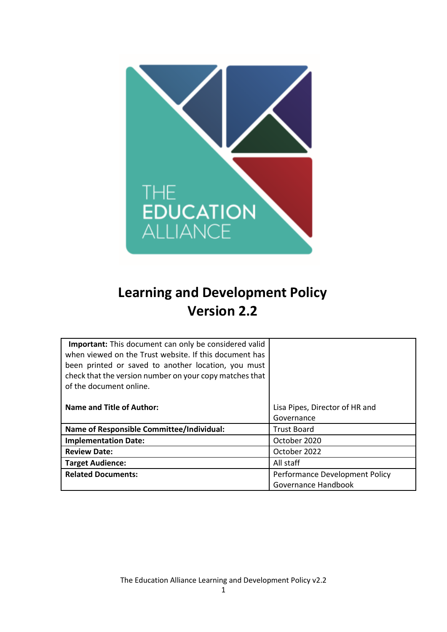

# **Learning and Development Policy Version 2.2**

| <b>Important:</b> This document can only be considered valid<br>when viewed on the Trust website. If this document has<br>been printed or saved to another location, you must<br>check that the version number on your copy matches that<br>of the document online. |                                |
|---------------------------------------------------------------------------------------------------------------------------------------------------------------------------------------------------------------------------------------------------------------------|--------------------------------|
| Name and Title of Author:                                                                                                                                                                                                                                           | Lisa Pipes, Director of HR and |
|                                                                                                                                                                                                                                                                     | Governance                     |
| <b>Name of Responsible Committee/Individual:</b>                                                                                                                                                                                                                    | <b>Trust Board</b>             |
| <b>Implementation Date:</b>                                                                                                                                                                                                                                         | October 2020                   |
| <b>Review Date:</b>                                                                                                                                                                                                                                                 | October 2022                   |
| <b>Target Audience:</b>                                                                                                                                                                                                                                             | All staff                      |
| <b>Related Documents:</b>                                                                                                                                                                                                                                           | Performance Development Policy |
|                                                                                                                                                                                                                                                                     | Governance Handbook            |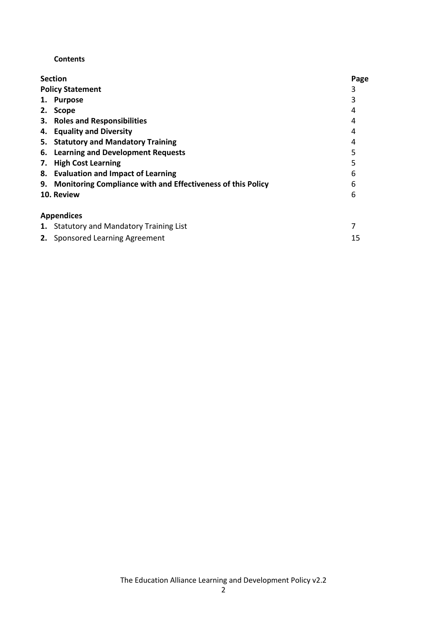#### **Contents**

|    | <b>Section</b>                                                 | Page |
|----|----------------------------------------------------------------|------|
|    | <b>Policy Statement</b>                                        | 3    |
| 1. | <b>Purpose</b>                                                 | 3    |
| 2. | <b>Scope</b>                                                   | 4    |
|    | 3. Roles and Responsibilities                                  | 4    |
|    | 4. Equality and Diversity                                      | 4    |
|    | 5. Statutory and Mandatory Training                            | 4    |
|    | 6. Learning and Development Requests                           | 5    |
| 7. | <b>High Cost Learning</b>                                      | 5    |
|    | 8. Evaluation and Impact of Learning                           | 6    |
|    | 9. Monitoring Compliance with and Effectiveness of this Policy | 6    |
|    | 10. Review                                                     | 6    |
|    | <b>Appendices</b>                                              |      |
|    | 1. Statutory and Mandatory Training List                       |      |
|    | 2. Sponsored Learning Agreement                                | 15   |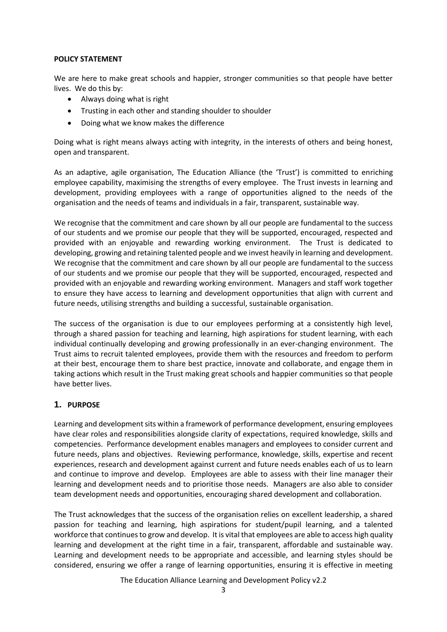#### **POLICY STATEMENT**

We are here to make great schools and happier, stronger communities so that people have better lives. We do this by:

- Always doing what is right
- Trusting in each other and standing shoulder to shoulder
- Doing what we know makes the difference

Doing what is right means always acting with integrity, in the interests of others and being honest, open and transparent.

As an adaptive, agile organisation, The Education Alliance (the 'Trust') is committed to enriching employee capability, maximising the strengths of every employee. The Trust invests in learning and development, providing employees with a range of opportunities aligned to the needs of the organisation and the needs of teams and individuals in a fair, transparent, sustainable way.

We recognise that the commitment and care shown by all our people are fundamental to the success of our students and we promise our people that they will be supported, encouraged, respected and provided with an enjoyable and rewarding working environment. The Trust is dedicated to developing, growing and retaining talented people and we invest heavily in learning and development. We recognise that the commitment and care shown by all our people are fundamental to the success of our students and we promise our people that they will be supported, encouraged, respected and provided with an enjoyable and rewarding working environment. Managers and staff work together to ensure they have access to learning and development opportunities that align with current and future needs, utilising strengths and building a successful, sustainable organisation.

The success of the organisation is due to our employees performing at a consistently high level, through a shared passion for teaching and learning, high aspirations for student learning, with each individual continually developing and growing professionally in an ever-changing environment. The Trust aims to recruit talented employees, provide them with the resources and freedom to perform at their best, encourage them to share best practice, innovate and collaborate, and engage them in taking actions which result in the Trust making great schools and happier communities so that people have better lives.

# **1. PURPOSE**

Learning and development sits within a framework of performance development, ensuring employees have clear roles and responsibilities alongside clarity of expectations, required knowledge, skills and competencies. Performance development enables managers and employees to consider current and future needs, plans and objectives. Reviewing performance, knowledge, skills, expertise and recent experiences, research and development against current and future needs enables each of us to learn and continue to improve and develop. Employees are able to assess with their line manager their learning and development needs and to prioritise those needs. Managers are also able to consider team development needs and opportunities, encouraging shared development and collaboration.

The Trust acknowledges that the success of the organisation relies on excellent leadership, a shared passion for teaching and learning, high aspirations for student/pupil learning, and a talented workforce that continues to grow and develop. It is vital that employees are able to access high quality learning and development at the right time in a fair, transparent, affordable and sustainable way. Learning and development needs to be appropriate and accessible, and learning styles should be considered, ensuring we offer a range of learning opportunities, ensuring it is effective in meeting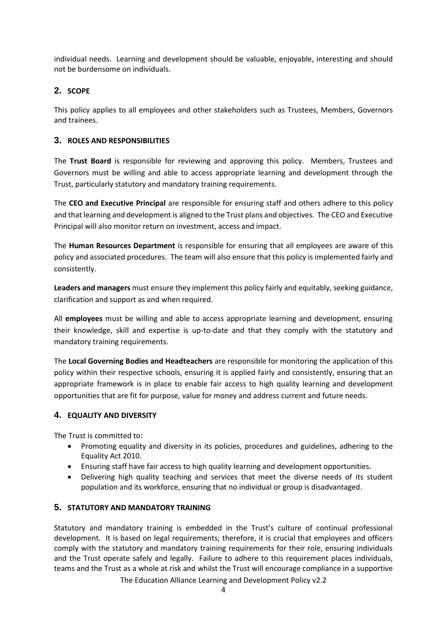individual needs. Learning and development should be valuable, enjoyable, interesting and should not be burdensome on individuals.

# **2. SCOPE**

This policy applies to all employees and other stakeholders such as Trustees, Members, Governors and trainees.

# **3. ROLES AND RESPONSIBILITIES**

The **Trust Board** is responsible for reviewing and approving this policy. Members, Trustees and Governors must be willing and able to access appropriate learning and development through the Trust, particularly statutory and mandatory training requirements.

The **CEO and Executive Principal** are responsible for ensuring staff and others adhere to this policy and that learning and development is aligned to the Trust plans and objectives. The CEO and Executive Principal will also monitor return on investment, access and impact.

The **Human Resources Department** is responsible for ensuring that all employees are aware of this policy and associated procedures. The team will also ensure that this policy is implemented fairly and consistently.

**Leaders and managers** must ensure they implement this policy fairly and equitably, seeking guidance, clarification and support as and when required.

All **employees** must be willing and able to access appropriate learning and development, ensuring their knowledge, skill and expertise is up-to-date and that they comply with the statutory and mandatory training requirements.

The **Local Governing Bodies and Headteachers** are responsible for monitoring the application of this policy within their respective schools, ensuring it is applied fairly and consistently, ensuring that an appropriate framework is in place to enable fair access to high quality learning and development opportunities that are fit for purpose, value for money and address current and future needs.

# **4. EQUALITY AND DIVERSITY**

The Trust is committed to:

- Promoting equality and diversity in its policies, procedures and guidelines, adhering to the Equality Act 2010.
- Ensuring staff have fair access to high quality learning and development opportunities.
- Delivering high quality teaching and services that meet the diverse needs of its student population and its workforce, ensuring that no individual or group is disadvantaged.

# **5. STATUTORY AND MANDATORY TRAINING**

Statutory and mandatory training is embedded in the Trust's culture of continual professional development. It is based on legal requirements; therefore, it is crucial that employees and officers comply with the statutory and mandatory training requirements for their role, ensuring individuals and the Trust operate safely and legally. Failure to adhere to this requirement places individuals, teams and the Trust as a whole at risk and whilst the Trust will encourage compliance in a supportive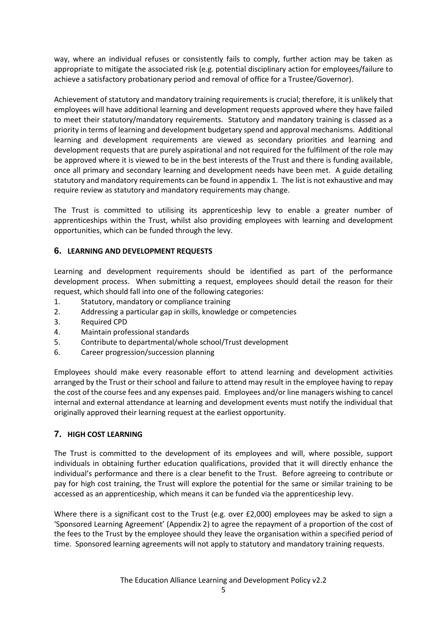way, where an individual refuses or consistently fails to comply, further action may be taken as appropriate to mitigate the associated risk (e.g. potential disciplinary action for employees/failure to achieve a satisfactory probationary period and removal of office for a Trustee/Governor).

Achievement of statutory and mandatory training requirements is crucial; therefore, it is unlikely that employees will have additional learning and development requests approved where they have failed to meet their statutory/mandatory requirements. Statutory and mandatory training is classed as a priority in terms of learning and development budgetary spend and approval mechanisms. Additional learning and development requirements are viewed as secondary priorities and learning and development requests that are purely aspirational and not required for the fulfilment of the role may be approved where it is viewed to be in the best interests of the Trust and there is funding available, once all primary and secondary learning and development needs have been met. A guide detailing statutory and mandatory requirements can be found in appendix 1. The list is not exhaustive and may require review as statutory and mandatory requirements may change.

The Trust is committed to utilising its apprenticeship levy to enable a greater number of apprenticeships within the Trust, whilst also providing employees with learning and development opportunities, which can be funded through the levy.

# **6. LEARNING AND DEVELOPMENT REQUESTS**

Learning and development requirements should be identified as part of the performance development process. When submitting a request, employees should detail the reason for their request, which should fall into one of the following categories:

- 1. Statutory, mandatory or compliance training
- 2. Addressing a particular gap in skills, knowledge or competencies
- 3. Required CPD
- 4. Maintain professional standards
- 5. Contribute to departmental/whole school/Trust development
- 6. Career progression/succession planning

Employees should make every reasonable effort to attend learning and development activities arranged by the Trust or their school and failure to attend may result in the employee having to repay the cost of the course fees and any expenses paid. Employees and/or line managers wishing to cancel internal and external attendance at learning and development events must notify the individual that originally approved their learning request at the earliest opportunity.

# **7. HIGH COST LEARNING**

The Trust is committed to the development of its employees and will, where possible, support individuals in obtaining further education qualifications, provided that it will directly enhance the individual's performance and there is a clear benefit to the Trust. Before agreeing to contribute or pay for high cost training, the Trust will explore the potential for the same or similar training to be accessed as an apprenticeship, which means it can be funded via the apprenticeship levy.

Where there is a significant cost to the Trust (e.g. over £2,000) employees may be asked to sign a 'Sponsored Learning Agreement' (Appendix 2) to agree the repayment of a proportion of the cost of the fees to the Trust by the employee should they leave the organisation within a specified period of time. Sponsored learning agreements will not apply to statutory and mandatory training requests.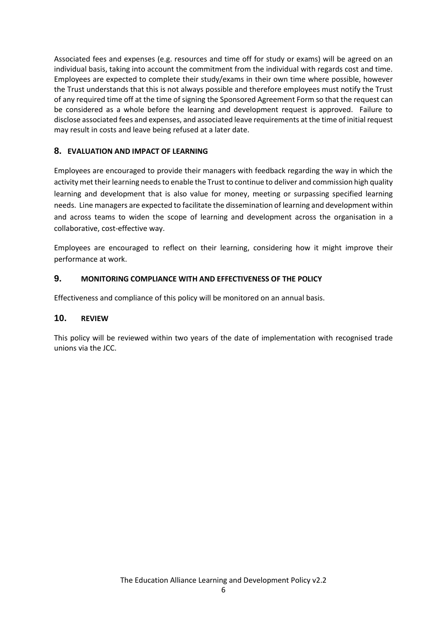Associated fees and expenses (e.g. resources and time off for study or exams) will be agreed on an individual basis, taking into account the commitment from the individual with regards cost and time. Employees are expected to complete their study/exams in their own time where possible, however the Trust understands that this is not always possible and therefore employees must notify the Trust of any required time off at the time of signing the Sponsored Agreement Form so that the request can be considered as a whole before the learning and development request is approved. Failure to disclose associated fees and expenses, and associated leave requirements at the time of initial request may result in costs and leave being refused at a later date.

# **8. EVALUATION AND IMPACT OF LEARNING**

Employees are encouraged to provide their managers with feedback regarding the way in which the activity met their learning needs to enable the Trust to continue to deliver and commission high quality learning and development that is also value for money, meeting or surpassing specified learning needs. Line managers are expected to facilitate the dissemination of learning and development within and across teams to widen the scope of learning and development across the organisation in a collaborative, cost-effective way.

Employees are encouraged to reflect on their learning, considering how it might improve their performance at work.

# **9. MONITORING COMPLIANCE WITH AND EFFECTIVENESS OF THE POLICY**

Effectiveness and compliance of this policy will be monitored on an annual basis.

# **10. REVIEW**

This policy will be reviewed within two years of the date of implementation with recognised trade unions via the JCC.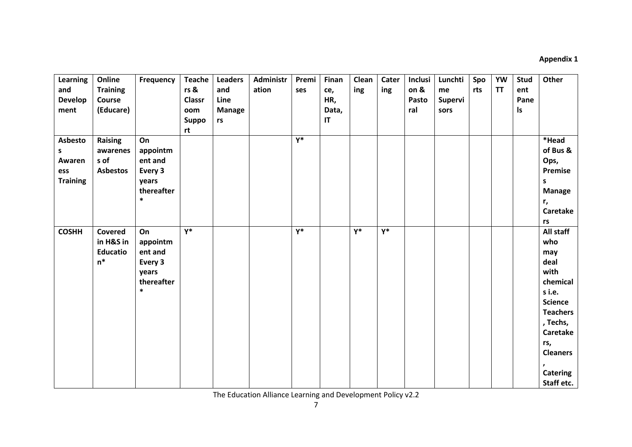# **Appendix 1**

| Learning<br>and<br><b>Develop</b><br>ment        | Online<br><b>Training</b><br>Course<br>(Educare) | Frequency                                                             | <b>Teache</b><br>rs &<br><b>Classr</b><br>oom<br><b>Suppo</b><br>rt | <b>Leaders</b><br>and<br>Line<br><b>Manage</b><br>rs | <b>Administr</b><br>ation | Premi<br>ses | Finan<br>ce,<br>HR,<br>Data,<br>$\mathsf{I}\mathsf{T}$ | Clean<br>ing | Cater<br>ing | Inclusi<br>on &<br>Pasto<br>ral | Lunchti<br>me<br><b>Supervi</b><br>sors | Spo<br>rts | <b>YW</b><br><b>TT</b> | <b>Stud</b><br>ent<br>Pane<br>ls | Other                                                                                                                                                                                        |
|--------------------------------------------------|--------------------------------------------------|-----------------------------------------------------------------------|---------------------------------------------------------------------|------------------------------------------------------|---------------------------|--------------|--------------------------------------------------------|--------------|--------------|---------------------------------|-----------------------------------------|------------|------------------------|----------------------------------|----------------------------------------------------------------------------------------------------------------------------------------------------------------------------------------------|
| Asbesto<br>s<br>Awaren<br>ess<br><b>Training</b> | Raising<br>awarenes<br>s of<br><b>Asbestos</b>   | On<br>appointm<br>ent and<br>Every 3<br>years<br>thereafter<br>$\ast$ |                                                                     |                                                      |                           | $Y^*$        |                                                        |              |              |                                 |                                         |            |                        |                                  | *Head<br>of Bus &<br>Ops,<br>Premise<br>s<br><b>Manage</b><br>r,<br><b>Caretake</b><br>rs                                                                                                    |
| <b>COSHH</b>                                     | Covered<br>in H&S in<br><b>Educatio</b><br>$n^*$ | On<br>appointm<br>ent and<br>Every 3<br>years<br>thereafter<br>$\ast$ | $Y^*$                                                               |                                                      |                           | $Y^*$        |                                                        | $Y^*$        | $Y^*$        |                                 |                                         |            |                        |                                  | All staff<br>who<br>may<br>deal<br>with<br>chemical<br>s i.e.<br><b>Science</b><br><b>Teachers</b><br>, Techs,<br><b>Caretake</b><br>rs,<br><b>Cleaners</b><br><b>Catering</b><br>Staff etc. |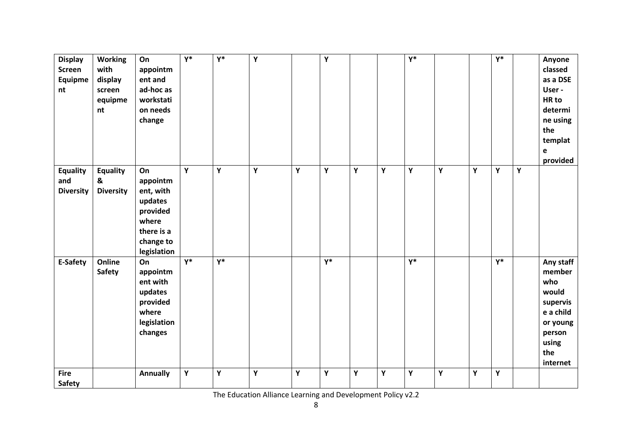| <b>Display</b><br><b>Screen</b><br>Equipme<br>nt | <b>Working</b><br>with<br>display<br>screen<br>equipme<br>nt | On<br>appointm<br>ent and<br>ad-hoc as<br>workstati<br>on needs<br>change                             | $\overline{Y^*}$ | $\overline{Y^*}$ | Y |   | Y     |   |   | $\overline{Y^*}$ |   |   | $\overline{Y^*}$ |   | Anyone<br>classed<br>as a DSE<br>User -<br>HR to<br>determi<br>ne using<br>the<br>templat<br>e<br>provided     |
|--------------------------------------------------|--------------------------------------------------------------|-------------------------------------------------------------------------------------------------------|------------------|------------------|---|---|-------|---|---|------------------|---|---|------------------|---|----------------------------------------------------------------------------------------------------------------|
| <b>Equality</b><br>and<br><b>Diversity</b>       | <b>Equality</b><br>&<br><b>Diversity</b>                     | On<br>appointm<br>ent, with<br>updates<br>provided<br>where<br>there is a<br>change to<br>legislation | Y                | Y                | Y | Y | Y     | Y | Y | Y                | Y | Υ | Y                | Υ |                                                                                                                |
| E-Safety                                         | Online<br><b>Safety</b>                                      | On<br>appointm<br>ent with<br>updates<br>provided<br>where<br>legislation<br>changes                  | $Y^*$            | $Y^*$            |   |   | $Y^*$ |   |   | $Y^*$            |   |   | $Y^*$            |   | Any staff<br>member<br>who<br>would<br>supervis<br>e a child<br>or young<br>person<br>using<br>the<br>internet |
| <b>Fire</b><br><b>Safety</b>                     |                                                              | <b>Annually</b>                                                                                       | Y                | Υ                | Y | Y | Υ     | Υ | Υ | Υ                | Υ | Y | Y                |   |                                                                                                                |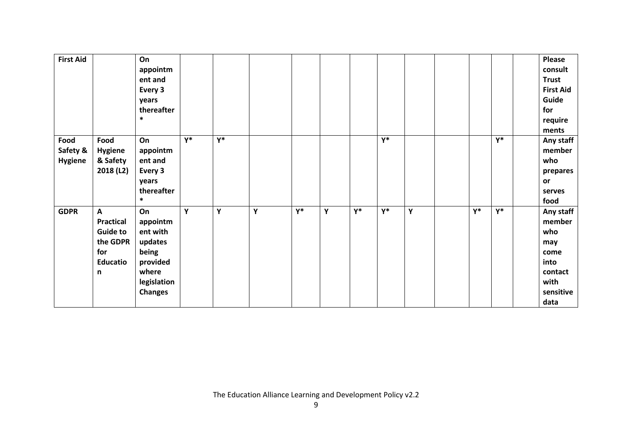| <b>First Aid</b>                   |                                                                                                | On<br>appointm<br>ent and<br>Every 3<br>years<br>thereafter<br>$\ast$                                |       |       |   |       |   |       |       |   |       |    | Please<br>consult<br><b>Trust</b><br><b>First Aid</b><br>Guide<br>for<br>require<br>ments |
|------------------------------------|------------------------------------------------------------------------------------------------|------------------------------------------------------------------------------------------------------|-------|-------|---|-------|---|-------|-------|---|-------|----|-------------------------------------------------------------------------------------------|
| Food<br>Safety &<br><b>Hygiene</b> | Food<br><b>Hygiene</b><br>& Safety<br>2018 (L2)                                                | On<br>appointm<br>ent and<br>Every 3<br>years<br>thereafter<br>$\ast$                                | $Y^*$ | $Y^*$ |   |       |   |       | $Y^*$ |   |       | γ* | Any staff<br>member<br>who<br>prepares<br>or<br>serves<br>food                            |
| <b>GDPR</b>                        | $\mathbf{A}$<br><b>Practical</b><br><b>Guide to</b><br>the GDPR<br>for<br><b>Educatio</b><br>n | On<br>appointm<br>ent with<br>updates<br>being<br>provided<br>where<br>legislation<br><b>Changes</b> | Y     | Y     | Υ | $Y^*$ | Υ | $Y^*$ | $Y^*$ | Y | $Y^*$ | Υ* | Any staff<br>member<br>who<br>may<br>come<br>into<br>contact<br>with<br>sensitive<br>data |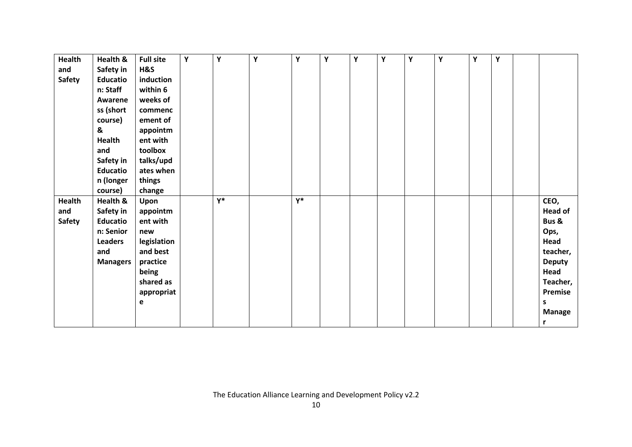| Health        | Health &        | <b>Full site</b> | Y | Υ     | Υ | Υ     | Υ | Υ | Y | Υ | Υ | Y | Y |                |
|---------------|-----------------|------------------|---|-------|---|-------|---|---|---|---|---|---|---|----------------|
| and           | Safety in       | H&S              |   |       |   |       |   |   |   |   |   |   |   |                |
| <b>Safety</b> | <b>Educatio</b> | induction        |   |       |   |       |   |   |   |   |   |   |   |                |
|               | n: Staff        | within 6         |   |       |   |       |   |   |   |   |   |   |   |                |
|               | Awarene         | weeks of         |   |       |   |       |   |   |   |   |   |   |   |                |
|               | ss (short       | commenc          |   |       |   |       |   |   |   |   |   |   |   |                |
|               | course)         | ement of         |   |       |   |       |   |   |   |   |   |   |   |                |
|               | &               | appointm         |   |       |   |       |   |   |   |   |   |   |   |                |
|               | <b>Health</b>   | ent with         |   |       |   |       |   |   |   |   |   |   |   |                |
|               | and             | toolbox          |   |       |   |       |   |   |   |   |   |   |   |                |
|               | Safety in       | talks/upd        |   |       |   |       |   |   |   |   |   |   |   |                |
|               | <b>Educatio</b> | ates when        |   |       |   |       |   |   |   |   |   |   |   |                |
|               | n (longer       | things           |   |       |   |       |   |   |   |   |   |   |   |                |
|               | course)         | change           |   |       |   |       |   |   |   |   |   |   |   |                |
| Health        | Health &        | Upon             |   | $Y^*$ |   | $Y^*$ |   |   |   |   |   |   |   | CEO,           |
| and           | Safety in       | appointm         |   |       |   |       |   |   |   |   |   |   |   | <b>Head of</b> |
| <b>Safety</b> | <b>Educatio</b> | ent with         |   |       |   |       |   |   |   |   |   |   |   | Bus &          |
|               | n: Senior       | new              |   |       |   |       |   |   |   |   |   |   |   | Ops,           |
|               | <b>Leaders</b>  | legislation      |   |       |   |       |   |   |   |   |   |   |   | Head           |
|               | and             | and best         |   |       |   |       |   |   |   |   |   |   |   | teacher,       |
|               | <b>Managers</b> | practice         |   |       |   |       |   |   |   |   |   |   |   | <b>Deputy</b>  |
|               |                 | being            |   |       |   |       |   |   |   |   |   |   |   | Head           |
|               |                 | shared as        |   |       |   |       |   |   |   |   |   |   |   | Teacher,       |
|               |                 | appropriat       |   |       |   |       |   |   |   |   |   |   |   | Premise        |
|               |                 | е                |   |       |   |       |   |   |   |   |   |   |   | S              |
|               |                 |                  |   |       |   |       |   |   |   |   |   |   |   | <b>Manage</b>  |
|               |                 |                  |   |       |   |       |   |   |   |   |   |   |   | r              |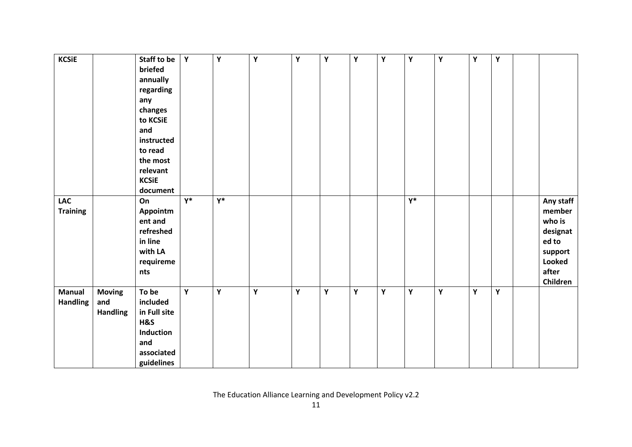| <b>KCSiE</b>    |                 | Staff to be  | Y     | $\mathbf Y$      | $\mathbf Y$ | Y | Υ | Y | Υ | Y                | Υ | Y | Υ |               |
|-----------------|-----------------|--------------|-------|------------------|-------------|---|---|---|---|------------------|---|---|---|---------------|
|                 |                 | briefed      |       |                  |             |   |   |   |   |                  |   |   |   |               |
|                 |                 | annually     |       |                  |             |   |   |   |   |                  |   |   |   |               |
|                 |                 | regarding    |       |                  |             |   |   |   |   |                  |   |   |   |               |
|                 |                 |              |       |                  |             |   |   |   |   |                  |   |   |   |               |
|                 |                 | any          |       |                  |             |   |   |   |   |                  |   |   |   |               |
|                 |                 | changes      |       |                  |             |   |   |   |   |                  |   |   |   |               |
|                 |                 | to KCSiE     |       |                  |             |   |   |   |   |                  |   |   |   |               |
|                 |                 | and          |       |                  |             |   |   |   |   |                  |   |   |   |               |
|                 |                 | instructed   |       |                  |             |   |   |   |   |                  |   |   |   |               |
|                 |                 | to read      |       |                  |             |   |   |   |   |                  |   |   |   |               |
|                 |                 | the most     |       |                  |             |   |   |   |   |                  |   |   |   |               |
|                 |                 | relevant     |       |                  |             |   |   |   |   |                  |   |   |   |               |
|                 |                 | <b>KCSiE</b> |       |                  |             |   |   |   |   |                  |   |   |   |               |
|                 |                 | document     |       |                  |             |   |   |   |   |                  |   |   |   |               |
| <b>LAC</b>      |                 | On           | $Y^*$ | $\overline{Y^*}$ |             |   |   |   |   | $\overline{Y^*}$ |   |   |   | Any staff     |
| <b>Training</b> |                 | Appointm     |       |                  |             |   |   |   |   |                  |   |   |   | member        |
|                 |                 | ent and      |       |                  |             |   |   |   |   |                  |   |   |   | who is        |
|                 |                 | refreshed    |       |                  |             |   |   |   |   |                  |   |   |   | designat      |
|                 |                 | in line      |       |                  |             |   |   |   |   |                  |   |   |   | ed to         |
|                 |                 | with LA      |       |                  |             |   |   |   |   |                  |   |   |   | support       |
|                 |                 | requireme    |       |                  |             |   |   |   |   |                  |   |   |   | <b>Looked</b> |
|                 |                 | nts          |       |                  |             |   |   |   |   |                  |   |   |   | after         |
|                 |                 |              |       |                  |             |   |   |   |   |                  |   |   |   | Children      |
| <b>Manual</b>   | <b>Moving</b>   | To be        | Y     | Υ                | Y           | Y | Y | Y | Y | Y                | Y | Υ | Υ |               |
| <b>Handling</b> | and             | included     |       |                  |             |   |   |   |   |                  |   |   |   |               |
|                 |                 |              |       |                  |             |   |   |   |   |                  |   |   |   |               |
|                 | <b>Handling</b> | in Full site |       |                  |             |   |   |   |   |                  |   |   |   |               |
|                 |                 | H&S          |       |                  |             |   |   |   |   |                  |   |   |   |               |
|                 |                 | Induction    |       |                  |             |   |   |   |   |                  |   |   |   |               |
|                 |                 | and          |       |                  |             |   |   |   |   |                  |   |   |   |               |
|                 |                 | associated   |       |                  |             |   |   |   |   |                  |   |   |   |               |
|                 |                 | guidelines   |       |                  |             |   |   |   |   |                  |   |   |   |               |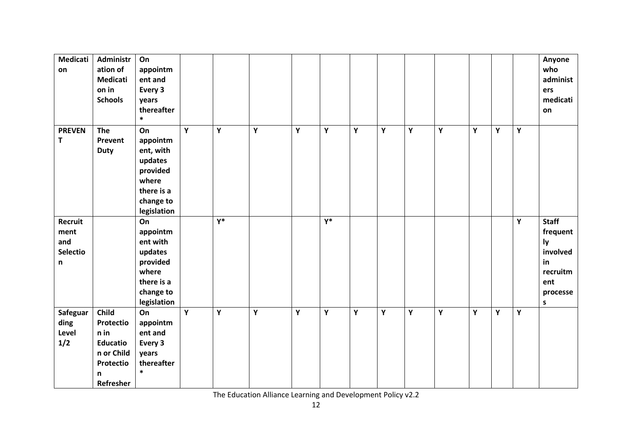| <b>Medicati</b><br>on                                     | Administr<br>ation of<br><b>Medicati</b><br>on in<br><b>Schools</b>                        | On<br>appointm<br>ent and<br>Every 3<br>years<br>thereafter<br>$\ast$                                 |   |       |   |   |       |   |   |   |   |   |   |             | Anyone<br>who<br>administ<br>ers<br>medicati<br>on                                   |
|-----------------------------------------------------------|--------------------------------------------------------------------------------------------|-------------------------------------------------------------------------------------------------------|---|-------|---|---|-------|---|---|---|---|---|---|-------------|--------------------------------------------------------------------------------------|
| <b>PREVEN</b><br>$\mathsf{T}$                             | The<br>Prevent<br><b>Duty</b>                                                              | On<br>appointm<br>ent, with<br>updates<br>provided<br>where<br>there is a<br>change to<br>legislation | Y | Y     | Y | Y | Υ     | Y | Υ | Υ | Υ | Y | Y | $\mathbf Y$ |                                                                                      |
| Recruit<br>ment<br>and<br><b>Selectio</b><br>$\mathsf{n}$ |                                                                                            | On<br>appointm<br>ent with<br>updates<br>provided<br>where<br>there is a<br>change to<br>legislation  |   | $Y^*$ |   |   | $Y^*$ |   |   |   |   |   |   | Y           | <b>Staff</b><br>frequent<br>ly<br>involved<br>in<br>recruitm<br>ent<br>processe<br>S |
| Safeguar<br>ding<br>Level<br>1/2                          | Child<br>Protectio<br>n in<br><b>Educatio</b><br>n or Child<br>Protectio<br>n<br>Refresher | On<br>appointm<br>ent and<br>Every 3<br>years<br>thereafter<br>$\ast$                                 | Y | Y     | Y | Y | Υ     | Y | Υ | Υ | Y | Y | Y | Υ           |                                                                                      |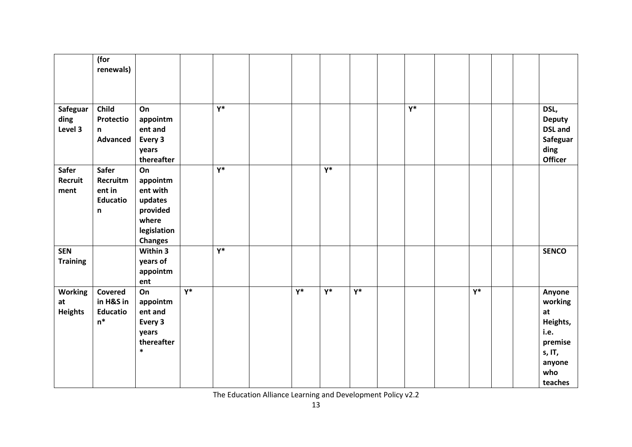|                                        | (for<br>renewals)                                   |                                                                                             |       |                  |       |                  |       |       |       |  |                                                                                              |
|----------------------------------------|-----------------------------------------------------|---------------------------------------------------------------------------------------------|-------|------------------|-------|------------------|-------|-------|-------|--|----------------------------------------------------------------------------------------------|
| Safeguar<br>ding<br>Level 3            | Child<br>Protectio<br>n<br><b>Advanced</b>          | On<br>appointm<br>ent and<br>Every 3<br>years<br>thereafter                                 |       | $Y^*$            |       |                  |       | $Y^*$ |       |  | DSL,<br><b>Deputy</b><br><b>DSL</b> and<br>Safeguar<br>ding<br><b>Officer</b>                |
| <b>Safer</b><br>Recruit<br>ment        | Safer<br>Recruitm<br>ent in<br><b>Educatio</b><br>n | On<br>appointm<br>ent with<br>updates<br>provided<br>where<br>legislation<br><b>Changes</b> |       | $\overline{Y^*}$ |       | $\overline{Y^*}$ |       |       |       |  |                                                                                              |
| <b>SEN</b><br><b>Training</b>          |                                                     | Within 3<br>years of<br>appointm<br>ent                                                     |       | $Y^*$            |       |                  |       |       |       |  | <b>SENCO</b>                                                                                 |
| <b>Working</b><br>at<br><b>Heights</b> | Covered<br>in H&S in<br><b>Educatio</b><br>$n^*$    | On<br>appointm<br>ent and<br>Every 3<br>years<br>thereafter<br>$\ast$                       | $Y^*$ |                  | $Y^*$ | $Y^*$            | $Y^*$ |       | $Y^*$ |  | Anyone<br>working<br>at<br>Heights,<br>i.e.<br>premise<br>s, IT,<br>anyone<br>who<br>teaches |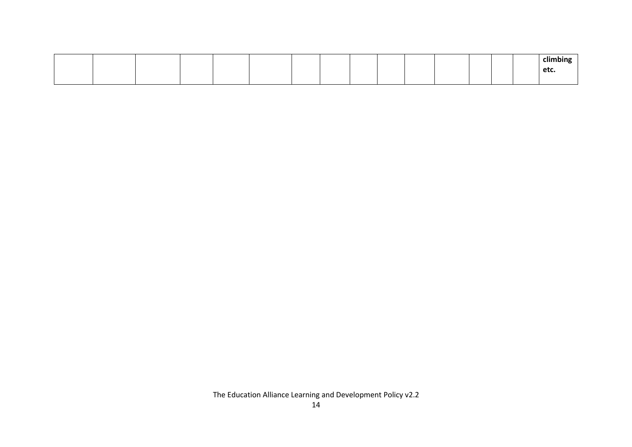|  |  |  |  |  |  |  | <br>climbing |
|--|--|--|--|--|--|--|--------------|
|  |  |  |  |  |  |  | etc.         |
|  |  |  |  |  |  |  |              |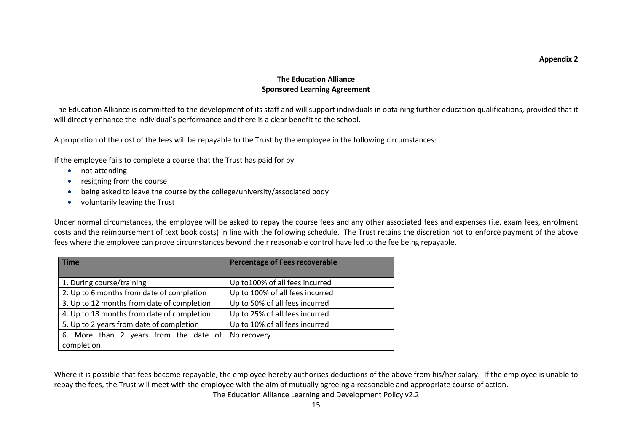#### **Appendix 2**

#### **The Education Alliance Sponsored Learning Agreement**

The Education Alliance is committed to the development of its staff and will support individuals in obtaining further education qualifications, provided that it will directly enhance the individual's performance and there is a clear benefit to the school.

A proportion of the cost of the fees will be repayable to the Trust by the employee in the following circumstances:

If the employee fails to complete a course that the Trust has paid for by

- not attending
- resigning from the course
- being asked to leave the course by the college/university/associated body
- voluntarily leaving the Trust

Under normal circumstances, the employee will be asked to repay the course fees and any other associated fees and expenses (i.e. exam fees, enrolment costs and the reimbursement of text book costs) in line with the following schedule. The Trust retains the discretion not to enforce payment of the above fees where the employee can prove circumstances beyond their reasonable control have led to the fee being repayable.

| <b>Time</b>                                | <b>Percentage of Fees recoverable</b> |
|--------------------------------------------|---------------------------------------|
| 1. During course/training                  | Up to 100% of all fees incurred       |
| 2. Up to 6 months from date of completion  | Up to 100% of all fees incurred       |
| 3. Up to 12 months from date of completion | Up to 50% of all fees incurred        |
| 4. Up to 18 months from date of completion | Up to 25% of all fees incurred        |
| 5. Up to 2 years from date of completion   | Up to 10% of all fees incurred        |
| 6. More than 2 years from the date of      | No recovery                           |
| completion                                 |                                       |

Where it is possible that fees become repayable, the employee hereby authorises deductions of the above from his/her salary. If the employee is unable to repay the fees, the Trust will meet with the employee with the aim of mutually agreeing a reasonable and appropriate course of action.